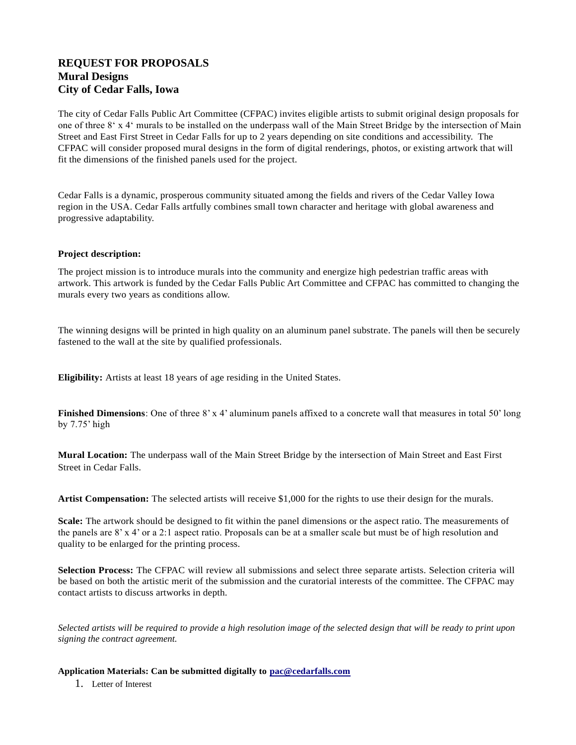## **REQUEST FOR PROPOSALS Mural Designs City of Cedar Falls, Iowa**

The city of Cedar Falls Public Art Committee (CFPAC) invites eligible artists to submit original design proposals for one of three 8' x 4' murals to be installed on the underpass wall of the Main Street Bridge by the intersection of Main Street and East First Street in Cedar Falls for up to 2 years depending on site conditions and accessibility. The CFPAC will consider proposed mural designs in the form of digital renderings, photos, or existing artwork that will fit the dimensions of the finished panels used for the project.

Cedar Falls is a dynamic, prosperous community situated among the fields and rivers of the Cedar Valley Iowa region in the USA. Cedar Falls artfully combines small town character and heritage with global awareness and progressive adaptability.

## **Project description:**

The project mission is to introduce murals into the community and energize high pedestrian traffic areas with artwork. This artwork is funded by the Cedar Falls Public Art Committee and CFPAC has committed to changing the murals every two years as conditions allow.

The winning designs will be printed in high quality on an aluminum panel substrate. The panels will then be securely fastened to the wall at the site by qualified professionals.

**Eligibility:** Artists at least 18 years of age residing in the United States.

**Finished Dimensions**: One of three 8' x 4' aluminum panels affixed to a concrete wall that measures in total 50' long by 7.75' high

**Mural Location:** The underpass wall of the Main Street Bridge by the intersection of Main Street and East First Street in Cedar Falls.

**Artist Compensation:** The selected artists will receive \$1,000 for the rights to use their design for the murals.

**Scale:** The artwork should be designed to fit within the panel dimensions or the aspect ratio. The measurements of the panels are 8' x 4' or a 2:1 aspect ratio. Proposals can be at a smaller scale but must be of high resolution and quality to be enlarged for the printing process.

**Selection Process:** The CFPAC will review all submissions and select three separate artists. Selection criteria will be based on both the artistic merit of the submission and the curatorial interests of the committee. The CFPAC may contact artists to discuss artworks in depth.

*Selected artists will be required to provide a high resolution image of the selected design that will be ready to print upon signing the contract agreement.*

**Application Materials: Can be submitted digitally to [pa](mailto:kwalbergart@gmail.com)c@cedarfalls.com**

1. Letter of Interest